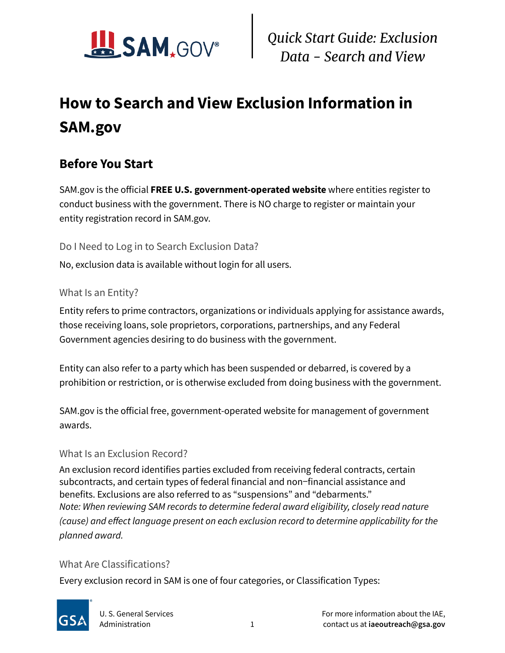

# **How to Search and View Exclusion Information in SAM.gov**

### **Before You Start**

SAM.gov is the official **FREE U.S. government-operated website** where entities register to conduct business with the government. There is NO charge to register or maintain your entity registration record in SAM.gov.

Do I Need to Log in to Search Exclusion Data?

No, exclusion data is available without login for all users.

#### What Is an Entity?

Entity refers to prime contractors, organizations or individuals applying for assistance awards, those receiving loans, sole proprietors, corporations, partnerships, and any Federal Government agencies desiring to do business with the government.

Entity can also refer to a party which has been suspended or debarred, is covered by a prohibition or restriction, or is otherwise excluded from doing business with the government.

SAM.gov is the official free, government-operated website for management of government awards.

#### What Is an Exclusion Record?

An exclusion record identifies parties excluded from receiving federal contracts, certain subcontracts, and certain types of federal financial and non-financial assistance and benefits. Exclusions are also referred to as "suspensions" and "debarments." *Note: When reviewing SAM records to determine federal award eligibility, closely read nature (cause) and effect language present on each exclusion record to determine applicability for the planned award.*

#### What Are Classifications?

Every exclusion record in SAM is one of four categories, or Classification Types:

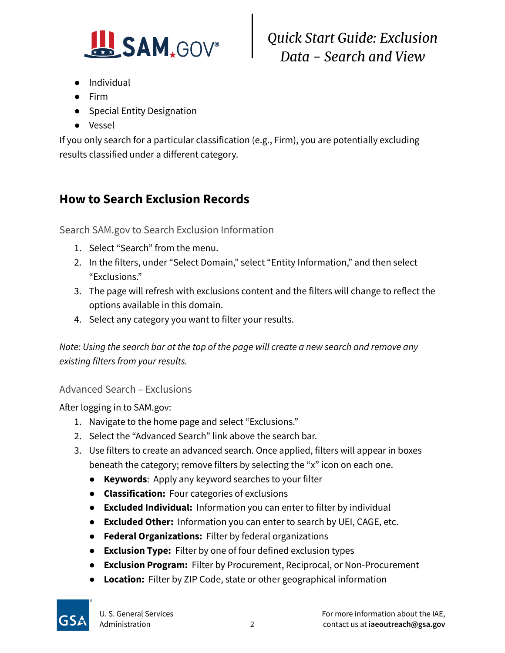

# *Quick Start Guide: Exclusion Data - Search and View*

- Individual
- Firm
- Special Entity Designation
- Vessel

If you only search for a particular classification (e.g., Firm), you are potentially excluding results classified under a different category.

### **How to Search Exclusion Records**

Search SAM.gov to Search Exclusion Information

- 1. Select "Search" from the menu.
- 2. In the filters, under "Select Domain," select "Entity Information," and then select "Exclusions."
- 3. The page will refresh with exclusions content and the filters will change to reflect the options available in this domain.
- 4. Select any category you want to filter your results.

*Note: Using the search bar at the top of the page will create a new search and remove any existing filters from your results.*

#### Advanced Search – Exclusions

After logging in to SAM.gov:

- 1. Navigate to the home page and select "Exclusions."
- 2. Select the "Advanced Search" link above the search bar.
- 3. Use filters to create an advanced search. Once applied, filters will appear in boxes beneath the category; remove filters by selecting the "x" icon on each one.
	- **Keywords**: Apply any keyword searches to your filter
	- **Classification:** Four categories of exclusions
	- **Excluded Individual:** Information you can enter to filter by individual
	- **Excluded Other:** Information you can enter to search by UEI, CAGE, etc.
	- **Federal Organizations:** Filter by federal organizations
	- **Exclusion Type:** Filter by one of four defined exclusion types
	- **Exclusion Program:** Filter by Procurement, Reciprocal, or Non-Procurement
	- **Location:** Filter by ZIP Code, state or other geographical information